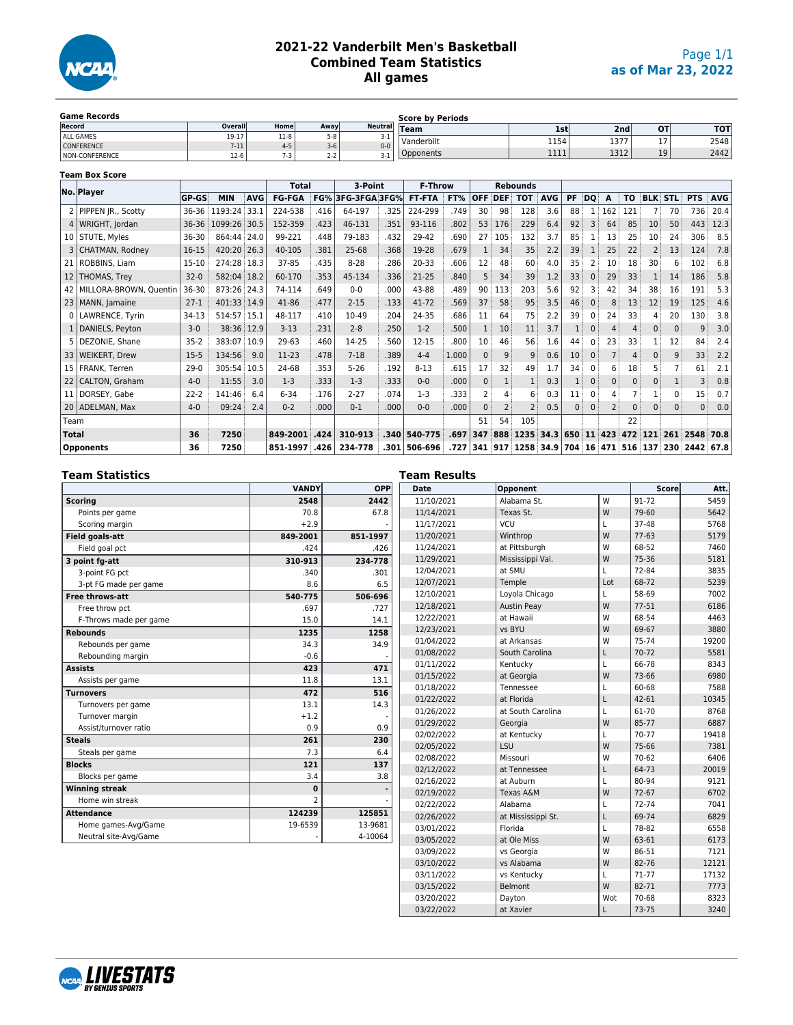

## **2021-22 Vanderbilt Men's Basketball Combined Team Statistics All games**

| <b>Game Records</b>   |          |           |         | <b>Score by Periods</b> |             |                     |      |    |            |  |  |  |  |  |
|-----------------------|----------|-----------|---------|-------------------------|-------------|---------------------|------|----|------------|--|--|--|--|--|
| Record                | Overall  | Home      | Awav    | <b>Neutral</b>          | <b>Team</b> | 1st'                | 2nd  | от | <b>TOT</b> |  |  |  |  |  |
| ALL GAMES             | 19-17    | .<br>11-8 | $5 - 8$ | <u>_</u>                | Vanderbilt  | 1154                | 1377 | -- | 2548       |  |  |  |  |  |
| <b>CONFERENCE</b>     | $7 - 11$ | $4 - 5$   | $3-6$   | $0 - 0$                 |             |                     |      |    |            |  |  |  |  |  |
| <b>NON-CONFERENCE</b> | $12-6$   | 7.3       | $2 - 2$ |                         | pponents    | 1111<br><b>++++</b> | 1312 | 19 | 2442       |  |  |  |  |  |

| <b>Team Box Score</b> |                             |              |             |            |               |      |               |      |                |       |                |                |                      |            |           |              |          |                |            |              |               |            |
|-----------------------|-----------------------------|--------------|-------------|------------|---------------|------|---------------|------|----------------|-------|----------------|----------------|----------------------|------------|-----------|--------------|----------|----------------|------------|--------------|---------------|------------|
|                       | No. Player                  |              |             |            | <b>Total</b>  |      | 3-Point       |      | <b>F-Throw</b> |       |                |                | <b>Rebounds</b>      |            |           |              |          |                |            |              |               |            |
|                       |                             | <b>GP-GS</b> | <b>MIN</b>  | <b>AVG</b> | <b>FG-FGA</b> | FG%  | 3FG-3FGA 3FG% |      | <b>FT-FTA</b>  | FT%   | <b>OFF</b>     | <b>DEF</b>     | <b>TOT</b>           | <b>AVG</b> | <b>PF</b> | DQ           | A        | T <sub>0</sub> | <b>BLK</b> | <b>STL</b>   | <b>PTS</b>    | <b>AVG</b> |
|                       | 2   PIPPEN JR., Scotty      | 36-36        | 1193:24     | 33.1       | 224-538       | .416 | 64-197        | .325 | 224-299        | .749  | 30             | 98             | 128                  | 3.6        | 88        | 1            | 162      | 121            |            | 70           | 736           | 20.4       |
|                       | WRIGHT, Jordan              | 36-36        | 1099:26     | 30.5       | 152-359       | .423 | 46-131        | .351 | 93-116         | .802  | 53             | 176            | 229                  | 6.4        | 92        | 3            | 64       | 85             | 10         | 50           | 443           | 12.3       |
|                       | 10 STUTE, Myles             | 36-30        | 864:44 24.0 |            | 99-221        | .448 | 79-183        | .432 | 29-42          | .690  | 27             | 105            | 132                  | 3.7        | 85        |              | 13       | 25             | 10         | 24           | 306           | 8.5        |
|                       | 3   CHATMAN, Rodney         | 16-15        | 420:20 26.3 |            | 40-105        | .381 | $25 - 68$     | .368 | 19-28          | .679  |                | 34             | 35                   | 2.2        | 39        |              | 25       | 22             |            | 13           | 124           | 7.8        |
|                       | 21 ROBBINS, Liam            | 15-10        | 274:28 18.3 |            | 37-85         | .435 | $8 - 28$      | .286 | 20-33          | .606  | 12             | 48             | 60                   | 4.0        | 35        | 2            | 10       | 18             | 30         | 6            | 102           | 6.8        |
| 12 <sub>1</sub>       | <b>THOMAS, Trev</b>         | $32-0$       | 582:04 18.2 |            | 60-170        | .353 | 45-134        | .336 | 21-25          | .840  | 5              | 34             | 39                   | 1.2        | 33        | $\Omega$     | 29       | 33             |            | 14           | 186           | 5.8        |
|                       | 42   MILLORA-BROWN, Ouentin | 36-30        | 873:26 24.3 |            | 74-114        | .649 | $0 - 0$       | .000 | 43-88          | .489  | 90             | 113            | 203                  | 5.6        | 92        | 3            | 42       | 34             | 38         | 16           | 191           | 5.3        |
|                       | 23   MANN, Jamaine          | $27-1$       | 401:33 14.9 |            | 41-86         | .477 | $2 - 15$      | .133 | 41-72          | .569  | 37             | 58             | 95                   | 3.5        | 46        | $\Omega$     | 8        | 13             | 12         | 19           | 125           | 4.6        |
|                       | LAWRENCE, Tyrin             | 34-13        | 514:57 15.1 |            | 48-117        | .410 | 10-49         | .204 | 24-35          | .686  | 11             | 64             | 75                   | 2.2        | 39        | $\Omega$     | 24       | 33             |            | 20           | 130           | 3.8        |
|                       | 1   DANIELS, Peyton         | $3-0$        | 38:36 12.9  |            | $3 - 13$      | .231 | $2 - 8$       | .250 | $1-2$          | .500  |                | 10             | 11                   | 3.7        |           | $\mathbf{0}$ | 4        | 4              | 0          | $\mathbf{0}$ | 9             | 3.0        |
|                       | DEZONIE, Shane              | $35 - 2$     | 383:07 10.9 |            | 29-63         | .460 | 14-25         | .560 | $12 - 15$      | .800  | 10             | 46             | 56                   | 1.6        | 44        | $\Omega$     | 23       | 33             |            | 12           | 84            | 2.4        |
| 331                   | <b>WEIKERT, Drew</b>        | $15 - 5$     | 134:56      | 9.0        | 11-23         | .478 | $7 - 18$      | .389 | $4 - 4$        | 1.000 | $\Omega$       | 9              | 9                    | 0.6        | 10        | $\mathbf 0$  |          | 4              | $\Omega$   | 9            | 33            | 2.2        |
|                       | 15   FRANK, Terren          | $29-0$       | 305:54      | 10.5       | 24-68         | .353 | $5 - 26$      | .192 | $8 - 13$       | .615  | 17             | 32             | 49                   | 1.7        | 34        | $\Omega$     | 6        | 18             | 5          |              | 61            | 2.1        |
| 22 <sub>1</sub>       | CALTON, Graham              | $4-0$        | 11:55       | 3.0        | $1-3$         | .333 | $1 - 3$       | .333 | $0 - 0$        | .000  | $\mathbf{0}$   |                |                      | 0.3        |           | $\mathbf{0}$ | $\Omega$ | 0              | $\Omega$   |              | 3             | 0.8        |
| 11 <sup>1</sup>       | DORSEY, Gabe                | $22 - 2$     | 141:46      | 6.4        | $6 - 34$      | .176 | $2 - 27$      | .074 | $1-3$          | .333  | $\overline{2}$ |                | 6                    | 0.3        | 11        | $\Omega$     |          |                |            | $\Omega$     | 15            | 0.7        |
|                       | 20   ADELMAN, Max           | $4 - 0$      | 09:24       | 2.4        | $0 - 2$       | .000 | $0 - 1$       | .000 | $0 - 0$        | .000  | $\mathbf{0}$   | $\overline{2}$ | $\overline{2}$       | 0.5        | 0         | $\mathbf{0}$ | 2        | 0              | $\Omega$   | $\mathbf{0}$ | $\mathbf{0}$  | 0.0        |
| Team                  |                             |              |             |            |               |      |               |      |                |       | 51             | 54             | 105                  |            |           |              |          | 22             |            |              |               |            |
| <b>Total</b>          |                             | 36           | 7250        |            | 849-2001      | .424 | 310-913       | .340 | 540-775        | .697  | 347            | 888            | 1235 34.3 650 11 423 |            |           |              |          | 472            | 121        | 261          | 2548          | 70.8       |
|                       | <b>Opponents</b>            | 36           | 7250        |            | 851-1997      | .426 | 234-778       | .301 | 506-696        | .727  | 341            | 917            | 1258 34.9            |            | 704 16    |              | 471      | 516 137        |            |              | 230 2442 67.8 |            |

## **Team Statistics**

|                        | <b>VANDY</b>   | OPP      |
|------------------------|----------------|----------|
| <b>Scoring</b>         | 2548           | 2442     |
| Points per game        | 70.8           | 67.8     |
| Scoring margin         | $+2.9$         |          |
| <b>Field goals-att</b> | 849-2001       | 851-1997 |
| Field goal pct         | .424           | .426     |
| 3 point fg-att         | 310-913        | 234-778  |
| 3-point FG pct         | .340           | .301     |
| 3-pt FG made per game  | 8.6            | 6.5      |
| Free throws-att        | 540-775        | 506-696  |
| Free throw pct         | .697           | .727     |
| F-Throws made per game | 15.0           | 14.1     |
| <b>Rebounds</b>        | 1235           | 1258     |
| Rebounds per game      | 34.3           | 34.9     |
| Rebounding margin      | $-0.6$         |          |
| <b>Assists</b>         | 423            | 471      |
| Assists per game       | 11.8           | 13.1     |
| <b>Turnovers</b>       | 472            | 516      |
| Turnovers per game     | 13.1           | 14.3     |
| Turnover margin        | $+1.2$         |          |
| Assist/turnover ratio  | 0.9            | 0.9      |
| <b>Steals</b>          | 261            | 230      |
| Steals per game        | 7.3            | 6.4      |
| <b>Blocks</b>          | 121            | 137      |
| Blocks per game        | 3.4            | 3.8      |
| <b>Winning streak</b>  | 0              |          |
| Home win streak        | $\overline{2}$ |          |
| <b>Attendance</b>      | 124239         | 125851   |
| Home games-Avg/Game    | 19-6539        | 13-9681  |
| Neutral site-Avg/Game  |                | 4-10064  |

| Team Results<br><b>Date</b> | Opponent           |     | <b>Score</b> | Att.         |
|-----------------------------|--------------------|-----|--------------|--------------|
| 11/10/2021                  | Alabama St.        | W   | 91-72        | 5459         |
| 11/14/2021                  | Texas St.          | W   | 79-60        | 5642         |
| 11/17/2021                  | VCU                | L   | 37-48        | 5768         |
| 11/20/2021                  | Winthrop           | W   | $77-63$      | 5179         |
| 11/24/2021                  | at Pittsburgh      | W   | 68-52        | 7460         |
|                             |                    | W   | 75-36        | 5181         |
| 11/29/2021                  | Mississippi Val.   | L   |              |              |
| 12/04/2021                  | at SMU             | Lot | 72-84        | 3835<br>5239 |
| 12/07/2021                  | Temple             |     | 68-72        |              |
| 12/10/2021                  | Loyola Chicago     | L   | 58-69        | 7002         |
| 12/18/2021                  | <b>Austin Peav</b> | W   | $77-51$      | 6186         |
| 12/22/2021                  | at Hawaii          | W   | 68-54        | 4463         |
| 12/23/2021                  | vs BYU             | W   | 69-67        | 3880         |
| 01/04/2022                  | at Arkansas        | W   | 75-74        | 19200        |
| 01/08/2022                  | South Carolina     | L   | 70-72        | 5581         |
| 01/11/2022                  | Kentucky           | L   | 66-78        | 8343         |
| 01/15/2022                  | at Georgia         | W   | 73-66        | 6980         |
| 01/18/2022                  | Tennessee          | L   | 60-68        | 7588         |
| 01/22/2022                  | at Florida         | L   | 42-61        | 10345        |
| 01/26/2022                  | at South Carolina  | L   | 61-70        | 8768         |
| 01/29/2022                  | Georgia            | W   | 85-77        | 6887         |
| 02/02/2022                  | at Kentucky        | L   | 70-77        | 19418        |
| 02/05/2022                  | LSU                | W   | 75-66        | 7381         |
| 02/08/2022                  | Missouri           | W   | 70-62        | 6406         |
| 02/12/2022                  | at Tennessee       | L   | 64-73        | 20019        |
| 02/16/2022                  | at Auburn          | L   | 80-94        | 9121         |
| 02/19/2022                  | Texas A&M          | W   | 72-67        | 6702         |
| 02/22/2022                  | Alabama            | L   | 72-74        | 7041         |
| 02/26/2022                  | at Mississippi St. | L   | 69-74        | 6829         |
| 03/01/2022                  | Florida            | L   | 78-82        | 6558         |
| 03/05/2022                  | at Ole Miss        | W   | 63-61        | 6173         |
| 03/09/2022                  | vs Georgia         | W   | 86-51        | 7121         |
| 03/10/2022                  | vs Alabama         | W   | 82-76        | 12121        |
| 03/11/2022                  | vs Kentucky        | Г   | 71-77        | 17132        |
| 03/15/2022                  | Belmont            | W   | 82-71        | 7773         |
| 03/20/2022                  | Dayton             | Wot | 70-68        | 8323         |
| 03/22/2022                  | at Xavier          | L   | 73-75        | 3240         |

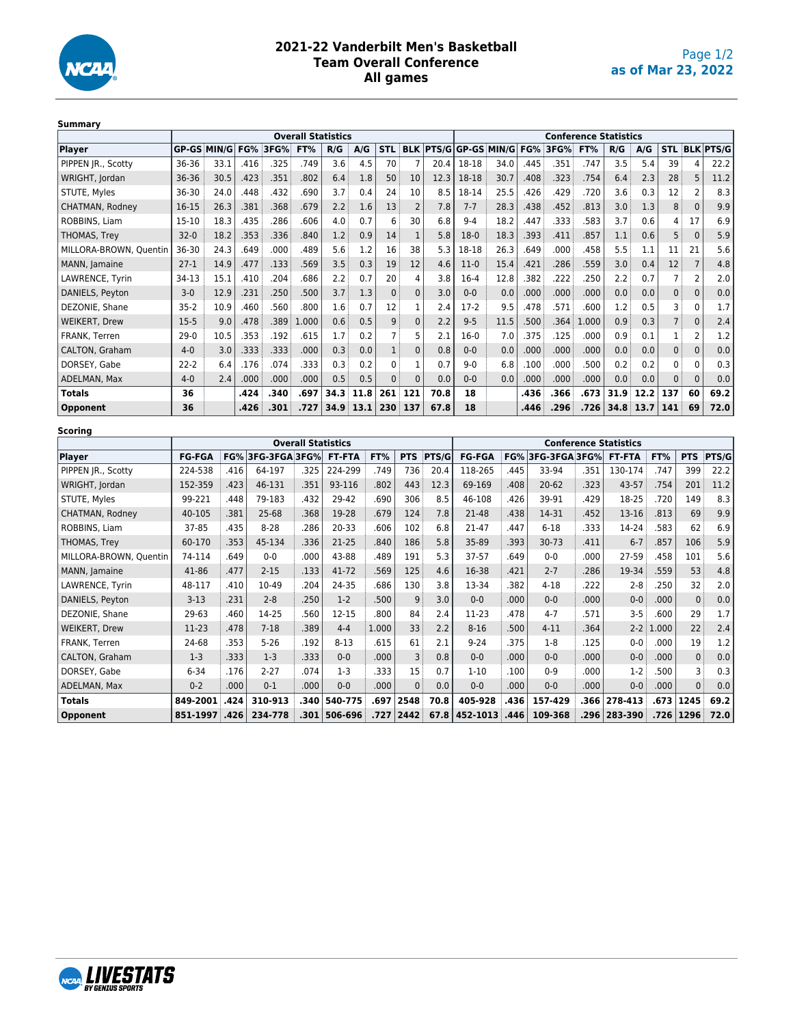

## **2021-22 Vanderbilt Men's Basketball Team Overall Conference All games**

| Julilliai 1            |           |                           |      |                 |       |      |      |            |            |      |         |                           |                              |                 |       |      |      |                |              |                      |  |  |  |  |
|------------------------|-----------|---------------------------|------|-----------------|-------|------|------|------------|------------|------|---------|---------------------------|------------------------------|-----------------|-------|------|------|----------------|--------------|----------------------|--|--|--|--|
|                        |           | <b>Overall Statistics</b> |      |                 |       |      |      |            |            |      |         |                           | <b>Conference Statistics</b> |                 |       |      |      |                |              |                      |  |  |  |  |
| <b>Player</b>          |           | <b>GP-GS MIN/G</b>        |      | <b>FG% 3FG%</b> | FT%   | R/G  | A/G  | <b>STL</b> | <b>BLK</b> |      |         | <b>PTS/GIGP-GS MIN/GI</b> |                              | <b>FG% 3FG%</b> | FT%   | R/G  | A/G  |                |              | <b>STL BLK PTS/G</b> |  |  |  |  |
| PIPPEN JR., Scotty     | 36-36     | 33.1                      | .416 | .325            | .749  | 3.6  | 4.5  | 70         |            | 20.4 | 18-18   | 34.0                      | .445                         | .351            | .747  | 3.5  | 5.4  | 39             |              | 22.2                 |  |  |  |  |
| WRIGHT, Jordan         | 36-36     | 30.5                      | .423 | .351            | .802  | 6.4  | 1.8  | 50         | 10         | 12.3 | 18-18   | 30.7                      | .408                         | .323            | .754  | 6.4  | 2.3  | 28             | 5            | 11.2                 |  |  |  |  |
| STUTE, Myles           | 36-30     | 24.0                      | .448 | .432            | .690  | 3.7  | 0.4  | 24         | 10         | 8.5  | 18-14   | 25.5                      | .426                         | .429            | .720  | 3.6  | 0.3  | 12             |              | 8.3                  |  |  |  |  |
| CHATMAN, Rodney        | 16-15     | 26.3                      | .381 | .368            | .679  | 2.2  | 1.6  | 13         |            | 7.8  | $7 - 7$ | 28.3                      | .438                         | .452            | .813  | 3.0  | 1.3  | 8              | $\Omega$     | 9.9                  |  |  |  |  |
| ROBBINS, Liam          | $15 - 10$ | 18.3                      | .435 | .286            | .606  | 4.0  | 0.7  | 6          | 30         | 6.8  | $9 - 4$ | 18.2                      | .447                         | .333            | .583  | 3.7  | 0.6  | 4              | 17           | 6.9                  |  |  |  |  |
| THOMAS, Trey           | $32 - 0$  | 18.2                      | .353 | .336            | .840  | 1.2  | 0.9  | 14         |            | 5.8  | $18-0$  | 18.3                      | .393                         | .411            | .857  | 1.1  | 0.6  | 5              | $\Omega$     | 5.9                  |  |  |  |  |
| MILLORA-BROWN, Quentin | 36-30     | 24.3                      | .649 | .000            | .489  | 5.6  | 1.2  | 16         | 38         | 5.3  | 18-18   | 26.3                      | .649                         | .000            | .458  | 5.5  | 1.1  | 11             | 21           | 5.6                  |  |  |  |  |
| MANN, Jamaine          | $27-1$    | 14.9                      | .477 | .133            | .569  | 3.5  | 0.3  | 19         | 12         | 4.6  | $11-0$  | 15.4                      | .421                         | .286            | .559  | 3.0  | 0.4  | 12             |              | 4.8                  |  |  |  |  |
| LAWRENCE, Tyrin        | 34-13     | 15.1                      | .410 | .204            | .686  | 2.2  | 0.7  | 20         | Δ          | 3.8  | $16-4$  | 12.8                      | .382                         | .222            | .250  | 2.2  | 0.7  |                |              | 2.0                  |  |  |  |  |
| DANIELS, Peyton        | $3 - 0$   | 12.9                      | .231 | .250            | .500  | 3.7  | 1.3  | $\Omega$   | $\Omega$   | 3.0  | $0 - 0$ | 0.0                       | .000                         | .000            | .000  | 0.0  | 0.0  | $\mathbf{0}$   | $\Omega$     | 0.0                  |  |  |  |  |
| DEZONIE, Shane         | $35-2$    | 10.9                      | .460 | .560            | .800  | 1.6  | 0.7  | 12         |            | 2.4  | $17-2$  | 9.5                       | .478                         | .571            | .600  | 1.2  | 0.5  | 3              | $\mathbf{0}$ | 1.7                  |  |  |  |  |
| <b>WEIKERT, Drew</b>   | $15-5$    | 9.0                       | .478 | .389            | 1.000 | 0.6  | 0.5  | 9          | $\Omega$   | 2.2  | $9 - 5$ | 11.5                      | .500                         | .364            | 1.000 | 0.9  | 0.3  | $\overline{7}$ | $\Omega$     | 2.4                  |  |  |  |  |
| <b>FRANK, Terren</b>   | $29-0$    | 10.5                      | .353 | .192            | .615  | 1.7  | 0.2  |            |            | 2.1  | $16-0$  | 7.0                       | .375                         | .125            | .000  | 0.9  | 0.1  |                |              | 1.2                  |  |  |  |  |
| <b>CALTON, Graham</b>  | $4 - 0$   | 3.0                       | .333 | .333            | .000  | 0.3  | 0.0  |            | $\Omega$   | 0.8  | $0 - 0$ | 0.0                       | .000                         | .000            | .000  | 0.0  | 0.0  | $\mathbf{0}$   | $\mathbf{0}$ | 0.0                  |  |  |  |  |
| DORSEY, Gabe           | $22-2$    | 6.4                       | .176 | .074            | .333  | 0.3  | 0.2  |            |            | 0.7  | $9 - 0$ | 6.8                       | .100                         | .000            | .500  | 0.2  | 0.2  | 0              | <sup>0</sup> | 0.3                  |  |  |  |  |
| ADELMAN, Max           | $4 - 0$   | 2.4                       | .000 | .000            | .000  | 0.5  | 0.5  | 0          | $\Omega$   | 0.0  | $0 - 0$ | 0.0                       | .000                         | .000            | .000  | 0.0  | 0.0  | $\Omega$       | $\Omega$     | 0.0                  |  |  |  |  |
| <b>Totals</b>          | 36        |                           | .424 | .340            | .697  | 34.3 | 11.8 | 261        | 121        | 70.8 | 18      |                           | .436                         | .366            | .673  | 31.9 | 12.2 | 137            | 60           | 69.2                 |  |  |  |  |
| <b>Opponent</b>        | 36        |                           | .426 | .301            | .727  | 34.9 | 13.1 | 230        | 137        | 67.8 | 18      |                           | .446                         | .296            | .726  | 34.8 | 13.7 | 141            | 69           | 72.0                 |  |  |  |  |

| <b>Scoring</b>         | <b>Overall Statistics</b> |                          |          |               |                   |       |              |                              |                   |                   |           |               |                       |             |                  |      |  |  |
|------------------------|---------------------------|--------------------------|----------|---------------|-------------------|-------|--------------|------------------------------|-------------------|-------------------|-----------|---------------|-----------------------|-------------|------------------|------|--|--|
|                        |                           |                          |          |               |                   |       |              | <b>Conference Statistics</b> |                   |                   |           |               |                       |             |                  |      |  |  |
| Player                 | <b>FG-FGA</b>             | <b>FG% 3FG-3FGA 3FG%</b> |          | <b>FT-FTA</b> | FT%<br><b>PTS</b> |       | PTS/G        | <b>FG-FGA</b>                |                   | FG% 3FG-3FGA 3FG% |           | <b>FT-FTA</b> | FT%                   | <b>PTS</b>  | PTS/G            |      |  |  |
| PIPPEN JR., Scotty     | 224-538                   | .416                     | 64-197   | .325          | 224-299           | .749  | 736          | 20.4                         | 118-265           | .445              | 33-94     | .351          | 130-174               | .747        | 399              | 22.2 |  |  |
| WRIGHT, Jordan         | 152-359                   | .423                     | 46-131   | .351          | 93-116            | .802  | 443          | 12.3                         | 69-169            | .408              | $20 - 62$ | 323           | 43-57                 | .754        | 201              | 11.2 |  |  |
| STUTE, Myles           | 99-221                    | .448                     | 79-183   | .432          | 29-42             | .690  | 306          | 8.5                          | 46-108            | .426              | 39-91     | .429          | 18-25                 | .720        | 149              | 8.3  |  |  |
| CHATMAN, Rodney        | 40-105                    | .381                     | 25-68    | .368          | 19-28             | .679  | 124          | 7.8                          | 21-48             | .438              | 14-31     | .452          | 13-16                 | .813        | 69               | 9.9  |  |  |
| ROBBINS, Liam          | 37-85                     | .435                     | $8 - 28$ | .286          | $20 - 33$         | .606  | 102          | 6.8                          | 21-47             | .447              | $6 - 18$  | 333           | 14-24                 | 583         | 62               | 6.9  |  |  |
| THOMAS, Trey           | 60-170                    | .353                     | 45-134   | .336          | 21-25             | .840  | 186          | 5.8                          | 35-89             | .393              | $30 - 73$ | .411          | $6 - 7$               | .857        | 106              | 5.9  |  |  |
| MILLORA-BROWN, Quentin | 74-114                    | .649                     | $0-0$    | .000          | 43-88             | .489  | 191          | 5.3                          | $37 - 57$         | .649              | $0 - 0$   | .000          | 27-59                 | .458        | 101              | 5.6  |  |  |
| MANN, Jamaine          | 41-86                     | .477                     | $2 - 15$ | .133          | 41-72             | .569  | 125          | 4.6                          | 16-38             | .421              | $2 - 7$   | 286           | 19-34                 | .559        | 53               | 4.8  |  |  |
| LAWRENCE, Tyrin        | 48-117                    | .410                     | 10-49    | .204          | 24-35             | .686  | 130          | 3.8                          | 13-34             | 382               | $4 - 18$  | .222          | $2 - 8$               | .250        | 32               | 2.0  |  |  |
| DANIELS, Peyton        | $3-13$                    | .231                     | $2 - 8$  | .250          | $1-2$             | .500  | 9            | 3.0                          | $0-0$             | .000              | $0-0$     | .000          | $0-0$                 | .000        | $\mathbf{0}$     | 0.0  |  |  |
| DEZONIE, Shane         | 29-63                     | .460                     | 14-25    | .560          | $12 - 15$         | .800  | 84           | 2.4                          | 11-23             | .478              | $4 - 7$   | .571          | $3 - 5$               | .600        | 29               | 1.7  |  |  |
| <b>WEIKERT, Drew</b>   | $11-23$                   | .478                     | $7 - 18$ | .389          | $4 - 4$           | 1.000 | 33           | 2.2                          | $8 - 16$          | .500              | $4 - 11$  | 364           |                       | $2-2$ 1.000 | 22               | 2.4  |  |  |
| FRANK. Terren          | 24-68                     | .353                     | $5 - 26$ | .192          | $8 - 13$          | .615  | 61           | 2.1                          | $9 - 24$          | .375              | $1 - 8$   | .125          | $0-0$                 | .000        | 19               | 1.2  |  |  |
| CALTON, Graham         | $1-3$                     | .333                     | $1-3$    | .333          | $0-0$             | .000  | 3            | 0.8                          | $0-0$             | .000              | $0 - 0$   | .000          | $0-0$                 | .000        | $\mathbf{0}$     | 0.0  |  |  |
| DORSEY, Gabe           | $6 - 34$                  | .176                     | $2 - 27$ | .074          | $1-3$             | .333  | 15           | 0.7                          | $1-10$            | .100              | $0 - 9$   | .000          | $1-2$                 | .500        | 3                | 0.3  |  |  |
| ADELMAN, Max           | $0 - 2$                   | .000                     | $0 - 1$  | .000          | $0-0$             | .000  | $\mathbf{0}$ | 0.0                          | $0-0$             | .000              | $0-0$     | .000.         | $0-0$                 | .000        | $\mathbf{0}$     | 0.0  |  |  |
| <b>Totals</b>          | 849-2001                  | .424                     | 310-913  | .340          | 540-775           | .697  | 2548         | 70.8                         | 405-928           | .436              | 157-429   | .366          | 278-413               | .673        | 1245             | 69.2 |  |  |
| Opponent               | 851-1997                  | .426                     | 234-778  | .301          | 506-696           | .727  | 2442         |                              | $67.8$   452-1013 | .446              | 109-368   |               | $.296 \mid 283 - 390$ |             | $.726 \mid 1296$ | 72.0 |  |  |